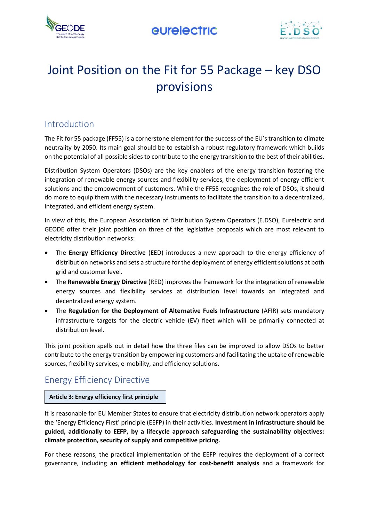



# Joint Position on the Fit for 55 Package – key DSO provisions

## Introduction

The Fit for 55 package (FF55) is a cornerstone element for the success of the EU's transition to climate neutrality by 2050. Its main goal should be to establish a robust regulatory framework which builds on the potential of all possible sides to contribute to the energy transition to the best of their abilities.

Distribution System Operators (DSOs) are the key enablers of the energy transition fostering the integration of renewable energy sources and flexibility services, the deployment of energy efficient solutions and the empowerment of customers. While the FF55 recognizes the role of DSOs, it should do more to equip them with the necessary instruments to facilitate the transition to a decentralized, integrated, and efficient energy system.

In view of this, the European Association of Distribution System Operators (E.DSO), Eurelectric and GEODE offer their joint position on three of the legislative proposals which are most relevant to electricity distribution networks:

- The **Energy Efficiency Directive** (EED) introduces a new approach to the energy efficiency of distribution networks and sets a structure for the deployment of energy efficient solutions at both grid and customer level.
- The **Renewable Energy Directive** (RED) improves the framework for the integration of renewable energy sources and flexibility services at distribution level towards an integrated and decentralized energy system.
- The **Regulation for the Deployment of Alternative Fuels Infrastructure** (AFIR) sets mandatory infrastructure targets for the electric vehicle (EV) fleet which will be primarily connected at distribution level.

This joint position spells out in detail how the three files can be improved to allow DSOs to better contribute to the energy transition by empowering customers and facilitating the uptake of renewable sources, flexibility services, e-mobility, and efficiency solutions.

## Energy Efficiency Directive

#### **Article 3: Energy efficiency first principle**

It is reasonable for EU Member States to ensure that electricity distribution network operators apply the 'Energy Efficiency First' principle (EEFP) in their activities. **Investment in infrastructure should be guided, additionally to EEFP, by a lifecycle approach safeguarding the sustainability objectives: climate protection, security of supply and competitive pricing.**

For these reasons, the practical implementation of the EEFP requires the deployment of a correct governance, including **an efficient methodology for cost-benefit analysis** and a framework for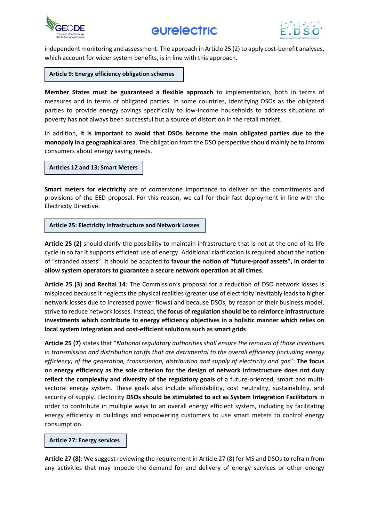



independent monitoring and assessment. The approach in Article 25 (2) to apply cost-benefit analyses, which account for wider system benefits, is in line with this approach.

**Article 9: Energy efficiency obligation schemes**

**Member States must be guaranteed a flexible approach** to implementation, both in terms of measures and in terms of obligated parties. In some countries, identifying DSOs as the obligated parties to provide energy savings specifically to low-income households to address situations of poverty has not always been successful but a source of distortion in the retail market.

In addition, **it is important to avoid that DSOs become the main obligated parties due to the monopoly in a geographical area**. The obligation from the DSO perspective should mainly be to inform consumers about energy saving needs.

**Articles 12 and 13: Smart Meters**

**Smart meters for electricity** are of cornerstone importance to deliver on the commitments and provisions of the EED proposal. For this reason, we call for their fast deployment in line with the Electricity Directive.

**Article 25: Electricity Infrastructure and Network Losses**

**Article 25 (2)** should clarify the possibility to maintain infrastructure that is not at the end of its life cycle in so far it supports efficient use of energy. Additional clarification is required about the notion of "stranded assets". It should be adapted to **favour the notion of "future-proof assets", in order to allow system operators to guarantee a secure network operation at all times**.

**Article 25 (3) and Recital 14**: The Commission's proposal for a reduction of DSO network losses is misplaced because it neglects the physical realities (greater use of electricity inevitably leads to higher network losses due to increased power flows) and because DSOs, by reason of their business model, strive to reduce network losses. Instead, **the focus of regulation should be to reinforce infrastructure investments which contribute to energy efficiency objectives in a holistic manner which relies on local system integration and cost-efficient solutions such as smart grids**.

**Article 25 (7)** states that "*National regulatory authorities shall ensure the removal of those incentives in transmission and distribution tariffs that are detrimental to the overall efficiency (including energy efficiency) of the generation, transmission, distribution and supply of electricity and gas*": **The focus on energy efficiency as the sole criterion for the design of network infrastructure does not duly reflect the complexity and diversity of the regulatory goals** of a future-oriented, smart and multisectoral energy system. These goals also include affordability, cost neutrality, sustainability, and security of supply. Electricity **DSOs should be stimulated to act as System Integration Facilitators** in order to contribute in multiple ways to an overall energy efficient system, including by facilitating energy efficiency in buildings and empowering customers to use smart meters to control energy consumption.

#### **Article 27: Energy services**

**Article 27 (8)**: We suggest reviewing the requirement in Article 27 (8) for MS and DSOs to refrain from any activities that may impede the demand for and delivery of energy services or other energy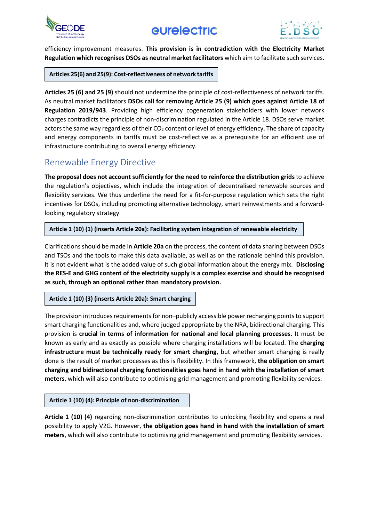



efficiency improvement measures. **This provision is in contradiction with the Electricity Market Regulation which recognises DSOs as neutral market facilitators** which aim to facilitate such services.

**Articles 25(6) and 25(9): Cost-reflectiveness of network tariffs**

**Articles 25 (6) and 25 (9)** should not undermine the principle of cost-reflectiveness of network tariffs. As neutral market facilitators **DSOs call for removing Article 25 (9) which goes against Article 18 of Regulation 2019/943**. Providing high efficiency cogeneration stakeholders with lower network charges contradicts the principle of non-discrimination regulated in the Article 18. DSOs serve market actors the same way regardless of their  $CO<sub>2</sub>$  content or level of energy efficiency. The share of capacity and energy components in tariffs must be cost-reflective as a prerequisite for an efficient use of infrastructure contributing to overall energy efficiency.

### Renewable Energy Directive

**The proposal does not account sufficiently for the need to reinforce the distribution grids**to achieve the regulation's objectives, which include the integration of decentralised renewable sources and flexibility services. We thus underline the need for a fit-for-purpose regulation which sets the right incentives for DSOs, including promoting alternative technology, smart reinvestments and a forwardlooking regulatory strategy.

#### **Article 1 (10) (1) (inserts Article 20a): Facilitating system integration of renewable electricity**

Clarifications should be made in **Article 20a** on the process, the content of data sharing between DSOs and TSOs and the tools to make this data available, as well as on the rationale behind this provision. It is not evident what is the added value of such global information about the energy mix. **Disclosing the RES-E and GHG content of the electricity supply is a complex exercise and should be recognised as such, through an optional rather than mandatory provision.**

#### **Article 1 (10) (3) (inserts Article 20a): Smart charging**

The provision introduces requirements for non–publicly accessible power recharging points to support smart charging functionalities and, where judged appropriate by the NRA, bidirectional charging. This provision is **crucial in terms of information for national and local planning processes**. It must be known as early and as exactly as possible where charging installations will be located. The **charging infrastructure must be technically ready for smart charging**, but whether smart charging is really done is the result of market processes as this is flexibility. In this framework, **the obligation on smart charging and bidirectional charging functionalities goes hand in hand with the installation of smart meters**, which will also contribute to optimising grid management and promoting flexibility services.

#### **Article 1 (10) (4): Principle of non-discrimination**

**Article 1 (10) (4)** regarding non-discrimination contributes to unlocking flexibility and opens a real possibility to apply V2G. However, **the obligation goes hand in hand with the installation of smart meters**, which will also contribute to optimising grid management and promoting flexibility services.